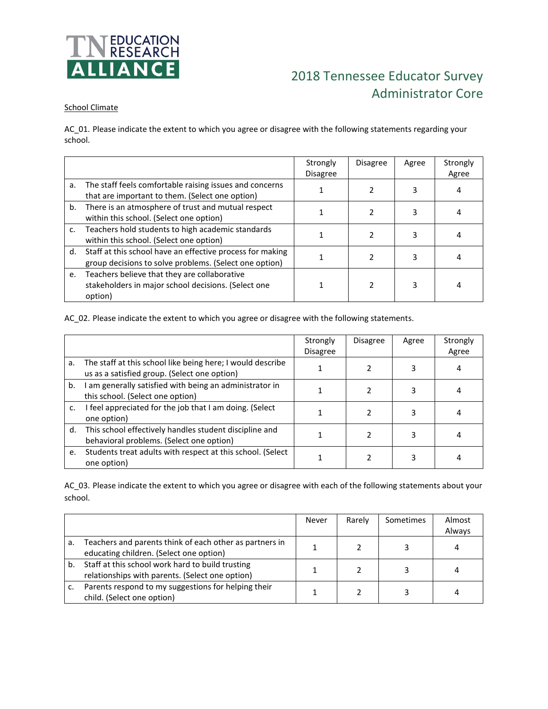

# 2018 Tennessee Educator Survey Administrator Core

### School Climate

AC\_01. Please indicate the extent to which you agree or disagree with the following statements regarding your school.

|    |                                                                                                                        | Strongly<br><b>Disagree</b> | <b>Disagree</b> | Agree | Strongly<br>Agree |
|----|------------------------------------------------------------------------------------------------------------------------|-----------------------------|-----------------|-------|-------------------|
| а. | The staff feels comfortable raising issues and concerns<br>that are important to them. (Select one option)             |                             |                 | 3     | 4                 |
|    | b. There is an atmosphere of trust and mutual respect<br>within this school. (Select one option)                       |                             |                 | 3     | 4                 |
| c. | Teachers hold students to high academic standards<br>within this school. (Select one option)                           |                             |                 | 3     |                   |
|    | d. Staff at this school have an effective process for making<br>group decisions to solve problems. (Select one option) |                             |                 | 3     |                   |
| e. | Teachers believe that they are collaborative<br>stakeholders in major school decisions. (Select one<br>option)         |                             |                 | 3     | 4                 |

AC\_02. Please indicate the extent to which you agree or disagree with the following statements.

|    |                                                                                                            | Strongly<br><b>Disagree</b> | <b>Disagree</b> | Agree | Strongly<br>Agree |
|----|------------------------------------------------------------------------------------------------------------|-----------------------------|-----------------|-------|-------------------|
| a. | The staff at this school like being here; I would describe<br>us as a satisfied group. (Select one option) |                             |                 |       |                   |
| b. | I am generally satisfied with being an administrator in<br>this school. (Select one option)                |                             | 2               |       |                   |
| c. | I feel appreciated for the job that I am doing. (Select<br>one option)                                     |                             |                 |       |                   |
| d. | This school effectively handles student discipline and<br>behavioral problems. (Select one option)         |                             |                 |       |                   |
| e. | Students treat adults with respect at this school. (Select<br>one option)                                  |                             |                 |       |                   |

AC\_03. Please indicate the extent to which you agree or disagree with each of the following statements about your school.

|    |                                                                                                     | Never | Rarely | Sometimes | Almost<br>Always |
|----|-----------------------------------------------------------------------------------------------------|-------|--------|-----------|------------------|
| a. | Teachers and parents think of each other as partners in<br>educating children. (Select one option)  |       |        |           | 4                |
| b. | Staff at this school work hard to build trusting<br>relationships with parents. (Select one option) |       |        |           | 4                |
|    | Parents respond to my suggestions for helping their<br>child. (Select one option)                   |       |        |           |                  |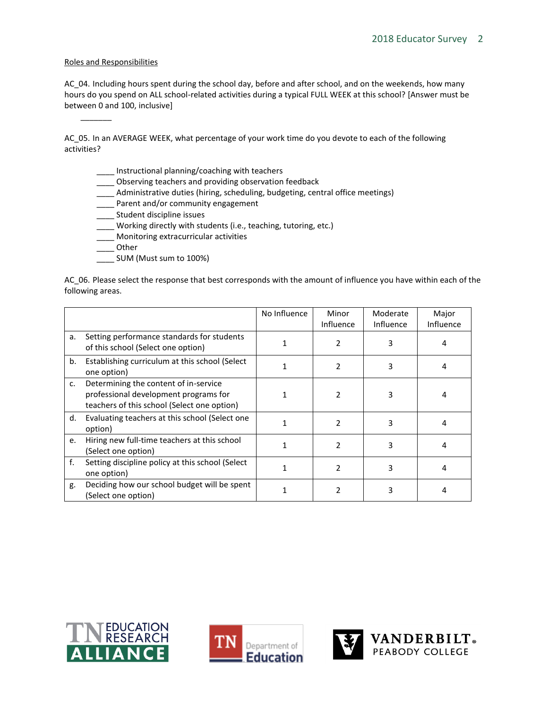#### Roles and Responsibilities

\_\_\_\_\_\_\_

AC\_04. Including hours spent during the school day, before and after school, and on the weekends, how many hours do you spend on ALL school-related activities during a typical FULL WEEK at this school? [Answer must be between 0 and 100, inclusive]

AC\_05. In an AVERAGE WEEK, what percentage of your work time do you devote to each of the following activities?

- \_\_\_\_ Instructional planning/coaching with teachers
- \_\_\_\_ Observing teachers and providing observation feedback
- \_\_\_\_ Administrative duties (hiring, scheduling, budgeting, central office meetings)
- \_\_\_\_ Parent and/or community engagement
- \_\_\_\_ Student discipline issues
- \_\_\_\_ Working directly with students (i.e., teaching, tutoring, etc.)
- \_\_\_\_ Monitoring extracurricular activities
- \_\_\_\_ Other
- \_\_\_\_ SUM (Must sum to 100%)

AC\_06. Please select the response that best corresponds with the amount of influence you have within each of the following areas.

|    |                                                                                                                               | No Influence | Minor<br><b>Influence</b> | Moderate<br>Influence | Major<br>Influence |
|----|-------------------------------------------------------------------------------------------------------------------------------|--------------|---------------------------|-----------------------|--------------------|
| a. | Setting performance standards for students<br>of this school (Select one option)                                              |              | 2                         | 3                     | 4                  |
| b. | Establishing curriculum at this school (Select<br>one option)                                                                 |              | 2                         | 3                     | 4                  |
| c. | Determining the content of in-service<br>professional development programs for<br>teachers of this school (Select one option) |              | 2                         |                       | 4                  |
| d. | Evaluating teachers at this school (Select one<br>option)                                                                     |              | 2                         | ς                     | 4                  |
| e. | Hiring new full-time teachers at this school<br>(Select one option)                                                           |              | 2                         | 3                     | 4                  |
| f. | Setting discipline policy at this school (Select<br>one option)                                                               |              | 2                         | 3                     | 4                  |
| g. | Deciding how our school budget will be spent<br>(Select one option)                                                           |              | 2                         | 3                     | 4                  |





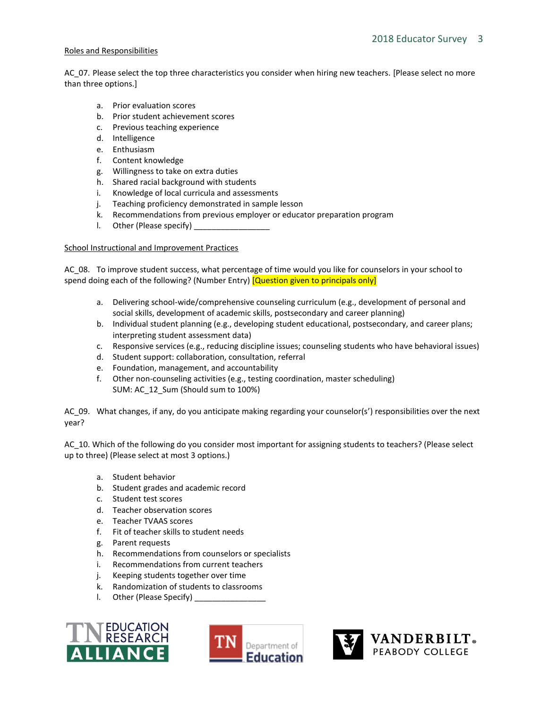#### Roles and Responsibilities

AC\_07. Please select the top three characteristics you consider when hiring new teachers. [Please select no more than three options.]

- a. Prior evaluation scores
- b. Prior student achievement scores
- c. Previous teaching experience
- d. Intelligence
- e. Enthusiasm
- f. Content knowledge
- g. Willingness to take on extra duties
- h. Shared racial background with students
- i. Knowledge of local curricula and assessments
- j. Teaching proficiency demonstrated in sample lesson
- k. Recommendations from previous employer or educator preparation program
- l. Other (Please specify) \_

#### School Instructional and Improvement Practices

AC\_08. To improve student success, what percentage of time would you like for counselors in your school to spend doing each of the following? (Number Entry) **[Question given to principals only]** 

- a. Delivering school-wide/comprehensive counseling curriculum (e.g., development of personal and social skills, development of academic skills, postsecondary and career planning)
- b. Individual student planning (e.g., developing student educational, postsecondary, and career plans; interpreting student assessment data)
- c. Responsive services (e.g., reducing discipline issues; counseling students who have behavioral issues)
- d. Student support: collaboration, consultation, referral
- e. Foundation, management, and accountability
- f. Other non-counseling activities (e.g., testing coordination, master scheduling) SUM: AC\_12\_Sum (Should sum to 100%)

AC 09. What changes, if any, do you anticipate making regarding your counselor(s') responsibilities over the next year?

AC\_10. Which of the following do you consider most important for assigning students to teachers? (Please select up to three) (Please select at most 3 options.)

- a. Student behavior
- b. Student grades and academic record
- c. Student test scores
- d. Teacher observation scores
- e. Teacher TVAAS scores
- f. Fit of teacher skills to student needs
- g. Parent requests
- h. Recommendations from counselors or specialists
- i. Recommendations from current teachers
- j. Keeping students together over time
- k. Randomization of students to classrooms
- l. Other (Please Specify)





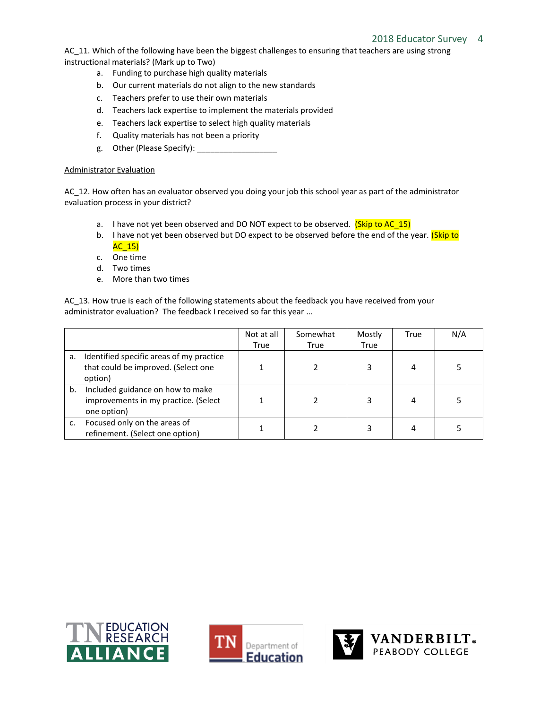## 2018 Educator Survey 4

AC\_11. Which of the following have been the biggest challenges to ensuring that teachers are using strong instructional materials? (Mark up to Two)

- a. Funding to purchase high quality materials
- b. Our current materials do not align to the new standards
- c. Teachers prefer to use their own materials
- d. Teachers lack expertise to implement the materials provided
- e. Teachers lack expertise to select high quality materials
- f. Quality materials has not been a priority
- g. Other (Please Specify): \_\_\_\_\_\_\_\_\_\_\_\_\_\_\_\_\_\_

#### Administrator Evaluation

AC\_12. How often has an evaluator observed you doing your job this school year as part of the administrator evaluation process in your district?

- a. I have not yet been observed and DO NOT expect to be observed. (Skip to AC\_15)
- b. I have not yet been observed but DO expect to be observed before the end of the year. (Skip to  $AC_15$
- c. One time
- d. Two times
- e. More than two times

AC 13. How true is each of the following statements about the feedback you have received from your administrator evaluation? The feedback I received so far this year …

|    |                                          | Not at all | Somewhat | Mostly | True | N/A |
|----|------------------------------------------|------------|----------|--------|------|-----|
|    |                                          | True       | True     | True   |      |     |
| а. | Identified specific areas of my practice |            |          |        |      |     |
|    | that could be improved. (Select one      |            |          | 3      |      |     |
|    | option)                                  |            |          |        |      |     |
| b. | Included guidance on how to make         |            |          |        |      |     |
|    | improvements in my practice. (Select     |            |          | 3      |      |     |
|    | one option)                              |            |          |        |      |     |
| c. | Focused only on the areas of             |            |          |        |      |     |
|    | refinement. (Select one option)          |            |          |        |      |     |